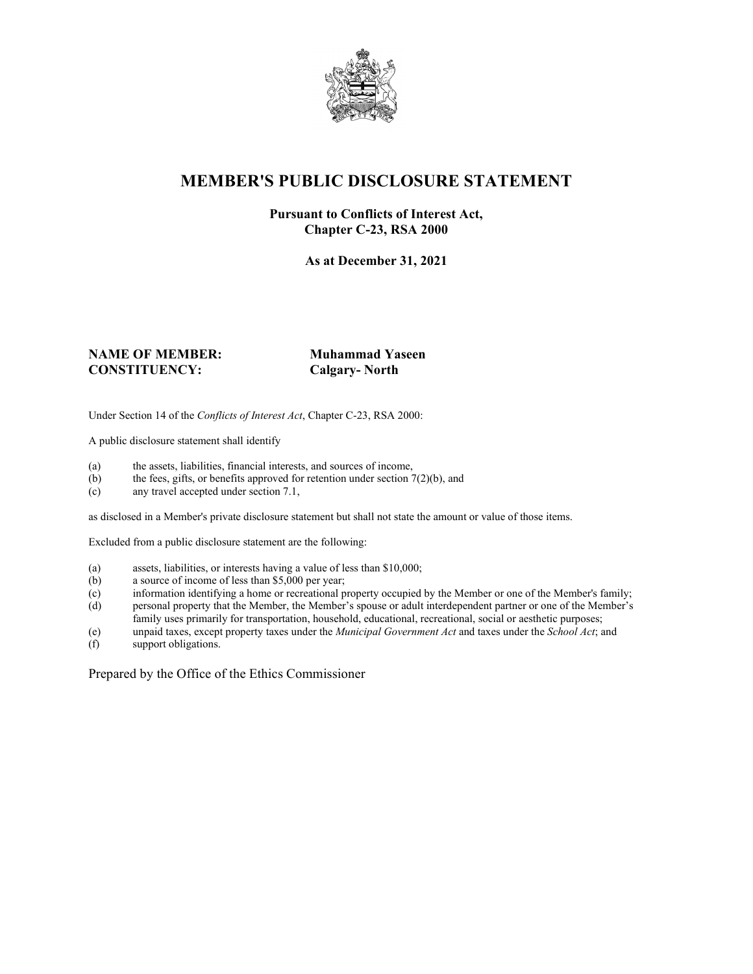

# **MEMBER'S PUBLIC DISCLOSURE STATEMENT**

#### **Pursuant to Conflicts of Interest Act, Chapter C-23, RSA 2000**

**As at December 31, 2021**

#### **NAME OF MEMBER: Muhammad Yaseen CONSTITUENCY: Calgary- North**

Under Section 14 of the *Conflicts of Interest Act*, Chapter C-23, RSA 2000:

A public disclosure statement shall identify

- (a) the assets, liabilities, financial interests, and sources of income,  $(b)$  the fees, gifts, or benefits approved for retention under section 7
- the fees, gifts, or benefits approved for retention under section  $7(2)(b)$ , and
- (c) any travel accepted under section 7.1,

as disclosed in a Member's private disclosure statement but shall not state the amount or value of those items.

Excluded from a public disclosure statement are the following:

- (a) assets, liabilities, or interests having a value of less than \$10,000;<br>(b) a source of income of less than \$5,000 per year;
- a source of income of less than  $$5,000$  per year;
- (c) information identifying a home or recreational property occupied by the Member or one of the Member's family;
- (d) personal property that the Member, the Member's spouse or adult interdependent partner or one of the Member's family uses primarily for transportation, household, educational, recreational, social or aesthetic purposes;
- (e) unpaid taxes, except property taxes under the *Municipal Government Act* and taxes under the *School Act*; and
- (f) support obligations.

Prepared by the Office of the Ethics Commissioner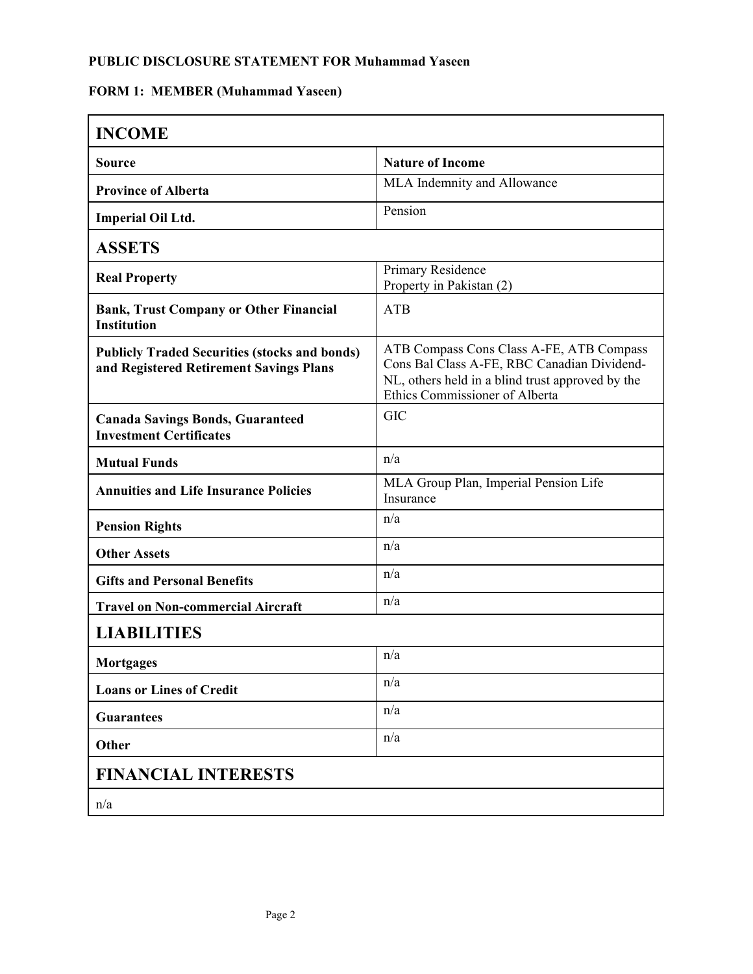## **PUBLIC DISCLOSURE STATEMENT FOR Muhammad Yaseen**

# **FORM 1: MEMBER (Muhammad Yaseen)**

| <b>INCOME</b>                                                                                   |                                                                                                                                                                               |
|-------------------------------------------------------------------------------------------------|-------------------------------------------------------------------------------------------------------------------------------------------------------------------------------|
| <b>Source</b>                                                                                   | <b>Nature of Income</b>                                                                                                                                                       |
| <b>Province of Alberta</b>                                                                      | MLA Indemnity and Allowance                                                                                                                                                   |
| <b>Imperial Oil Ltd.</b>                                                                        | Pension                                                                                                                                                                       |
| <b>ASSETS</b>                                                                                   |                                                                                                                                                                               |
| <b>Real Property</b>                                                                            | Primary Residence<br>Property in Pakistan (2)                                                                                                                                 |
| <b>Bank, Trust Company or Other Financial</b><br><b>Institution</b>                             | <b>ATB</b>                                                                                                                                                                    |
| <b>Publicly Traded Securities (stocks and bonds)</b><br>and Registered Retirement Savings Plans | ATB Compass Cons Class A-FE, ATB Compass<br>Cons Bal Class A-FE, RBC Canadian Dividend-<br>NL, others held in a blind trust approved by the<br>Ethics Commissioner of Alberta |
| <b>Canada Savings Bonds, Guaranteed</b><br><b>Investment Certificates</b>                       | <b>GIC</b>                                                                                                                                                                    |
| <b>Mutual Funds</b>                                                                             | n/a                                                                                                                                                                           |
| <b>Annuities and Life Insurance Policies</b>                                                    | MLA Group Plan, Imperial Pension Life<br>Insurance                                                                                                                            |
| <b>Pension Rights</b>                                                                           | n/a                                                                                                                                                                           |
| <b>Other Assets</b>                                                                             | n/a                                                                                                                                                                           |
| <b>Gifts and Personal Benefits</b>                                                              | n/a                                                                                                                                                                           |
| <b>Travel on Non-commercial Aircraft</b>                                                        | n/a                                                                                                                                                                           |
| <b>LIABILITIES</b>                                                                              |                                                                                                                                                                               |
| Mortgages                                                                                       | n/a                                                                                                                                                                           |
| <b>Loans or Lines of Credit</b>                                                                 | n/a                                                                                                                                                                           |
| <b>Guarantees</b>                                                                               | n/a                                                                                                                                                                           |
| Other                                                                                           | n/a                                                                                                                                                                           |
| <b>FINANCIAL INTERESTS</b>                                                                      |                                                                                                                                                                               |
| n/a                                                                                             |                                                                                                                                                                               |